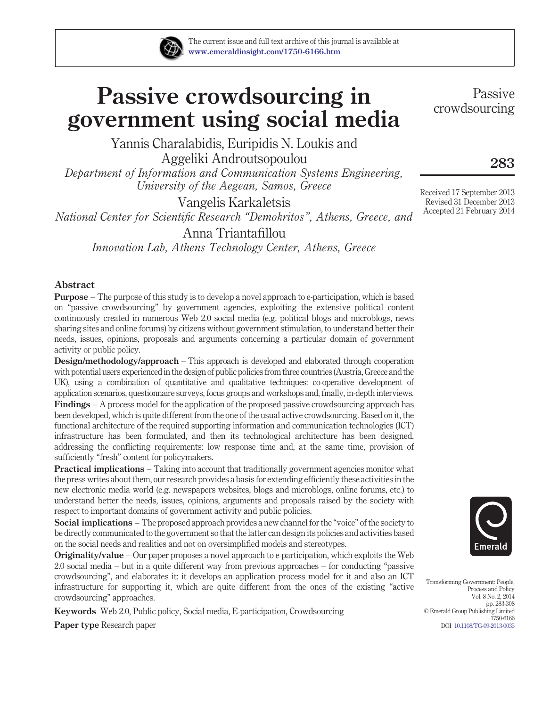

# **Passive crowdsourcing in government using social media**

Yannis Charalabidis, Euripidis N. Loukis and

Aggeliki Androutsopoulou *Department of Information and Communication Systems Engineering, University of the Aegean, Samos, Greece*

Vangelis Karkaletsis *National Center for Scientific Research "Demokritos", Athens, Greece, and*

Anna Triantafillou *Innovation Lab, Athens Technology Center, Athens, Greece*

### **Abstract**

**Purpose** – The purpose of this study is to develop a novel approach to e-participation, which is based on "passive crowdsourcing" by government agencies, exploiting the extensive political content continuously created in numerous Web 2.0 social media (e.g. political blogs and microblogs, news sharing sites and online forums) by citizens without government stimulation, to understand better their needs, issues, opinions, proposals and arguments concerning a particular domain of government activity or public policy.

**Design/methodology/approach** – This approach is developed and elaborated through cooperation with potential users experienced in the design of public policies from three countries (Austria, Greece and the UK), using a combination of quantitative and qualitative techniques: co-operative development of application scenarios, questionnaire surveys, focus groups and workshops and, finally, in-depth interviews. **Findings** – A process model for the application of the proposed passive crowdsourcing approach has been developed, which is quite different from the one of the usual active crowdsourcing. Based on it, the functional architecture of the required supporting information and communication technologies (ICT) infrastructure has been formulated, and then its technological architecture has been designed, addressing the conflicting requirements: low response time and, at the same time, provision of sufficiently "fresh" content for policymakers.

**Practical implications** – Taking into account that traditionally government agencies monitor what the press writes about them, our research provides a basis for extending efficiently these activities in the new electronic media world (e.g. newspapers websites, blogs and microblogs, online forums, etc.) to understand better the needs, issues, opinions, arguments and proposals raised by the society with respect to important domains of government activity and public policies.

**Social implications** – The proposed approach provides a new channel for the "voice" of the society to be directly communicated to the government so that the latter can design its policies and activities based on the social needs and realities and not on oversimplified models and stereotypes.

**Originality/value** – Our paper proposes a novel approach to e-participation, which exploits the Web 2.0 social media – but in a quite different way from previous approaches – for conducting "passive crowdsourcing", and elaborates it: it develops an application process model for it and also an ICT infrastructure for supporting it, which are quite different from the ones of the existing "active crowdsourcing" approaches.

**Keywords** Web 2.0, Public policy, Social media, E-participation, Crowdsourcing

**Paper type** Research paper

Passive crowdsourcing

**283**

Received 17 September 2013 Revised 31 December 2013 Accepted 21 February 2014



Transforming Government: People, Process and Policy Vol. 8 No. 2, 2014 pp. 283-308 © Emerald Group Publishing Limited 1750-6166 DOI [10.1108/TG-09-2013-0035](http://dx.doi.org/10.1108/TG-09-2013-0035)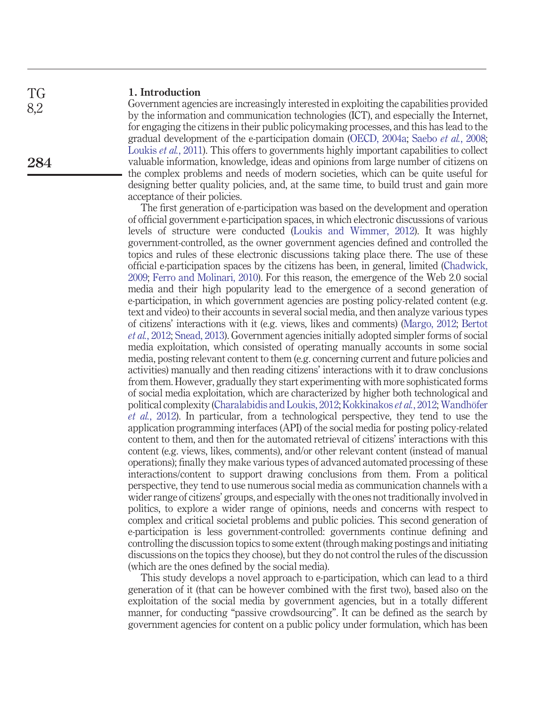#### **1. Introduction** TG

8,2

**284**

Government agencies are increasingly interested in exploiting the capabilities provided by the information and communication technologies (ICT), and especially the Internet, for engaging the citizens in their public policymaking processes, and this has lead to the gradual development of the e-participation domain (OECD, 2004a; Saebo *et al.*, 2008; Loukis *et al.*, 2011). This offers to governments highly important capabilities to collect valuable information, knowledge, ideas and opinions from large number of citizens on the complex problems and needs of modern societies, which can be quite useful for designing better quality policies, and, at the same time, to build trust and gain more acceptance of their policies.

The first generation of e-participation was based on the development and operation of official government e-participation spaces, in which electronic discussions of various levels of structure were conducted (Loukis and Wimmer, 2012). It was highly government-controlled, as the owner government agencies defined and controlled the topics and rules of these electronic discussions taking place there. The use of these official e-participation spaces by the citizens has been, in general, limited (Chadwick, 2009; Ferro and Molinari, 2010). For this reason, the emergence of the Web 2.0 social media and their high popularity lead to the emergence of a second generation of e-participation, in which government agencies are posting policy-related content (e.g. text and video) to their accounts in several social media, and then analyze various types of citizens' interactions with it (e.g. views, likes and comments) (Margo, 2012; Bertot *et al.*, 2012; Snead, 2013). Government agencies initially adopted simpler forms of social media exploitation, which consisted of operating manually accounts in some social media, posting relevant content to them (e.g. concerning current and future policies and activities) manually and then reading citizens' interactions with it to draw conclusions from them. However, gradually they start experimenting with more sophisticated forms of social media exploitation, which are characterized by higher both technological and political complexity (Charalabidis and Loukis, 2012; Kokkinakos *et al.*, 2012; Wandhöfer *et al.*, 2012). In particular, from a technological perspective, they tend to use the application programming interfaces (API) of the social media for posting policy-related content to them, and then for the automated retrieval of citizens' interactions with this content (e.g. views, likes, comments), and/or other relevant content (instead of manual operations); finally they make various types of advanced automated processing of these interactions/content to support drawing conclusions from them. From a political perspective, they tend to use numerous social media as communication channels with a wider range of citizens' groups, and especially with the ones not traditionally involved in politics, to explore a wider range of opinions, needs and concerns with respect to complex and critical societal problems and public policies. This second generation of e-participation is less government-controlled: governments continue defining and controlling the discussion topics to some extent (through making postings and initiating discussions on the topics they choose), but they do not control the rules of the discussion (which are the ones defined by the social media).

This study develops a novel approach to e-participation, which can lead to a third generation of it (that can be however combined with the first two), based also on the exploitation of the social media by government agencies, but in a totally different manner, for conducting "passive crowdsourcing". It can be defined as the search by government agencies for content on a public policy under formulation, which has been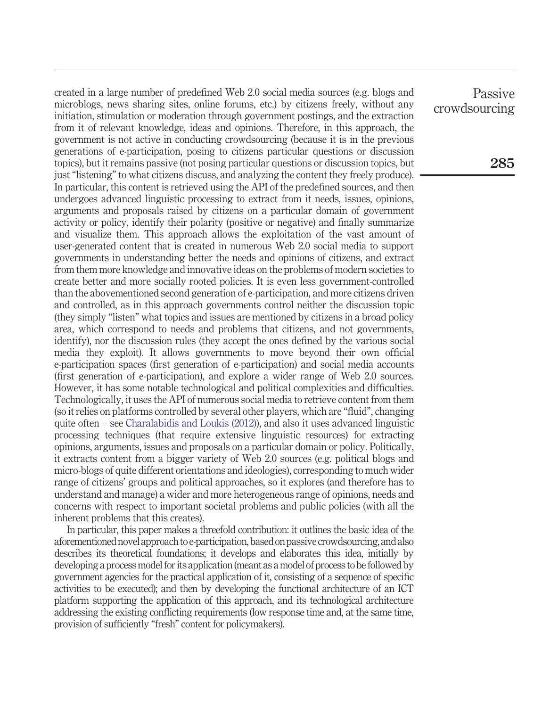created in a large number of predefined Web 2.0 social media sources (e.g. blogs and microblogs, news sharing sites, online forums, etc.) by citizens freely, without any initiation, stimulation or moderation through government postings, and the extraction from it of relevant knowledge, ideas and opinions. Therefore, in this approach, the government is not active in conducting crowdsourcing (because it is in the previous generations of e-participation, posing to citizens particular questions or discussion topics), but it remains passive (not posing particular questions or discussion topics, but just "listening" to what citizens discuss, and analyzing the content they freely produce). In particular, this content is retrieved using the API of the predefined sources, and then undergoes advanced linguistic processing to extract from it needs, issues, opinions, arguments and proposals raised by citizens on a particular domain of government activity or policy, identify their polarity (positive or negative) and finally summarize and visualize them. This approach allows the exploitation of the vast amount of user-generated content that is created in numerous Web 2.0 social media to support governments in understanding better the needs and opinions of citizens, and extract from them more knowledge and innovative ideas on the problems of modern societies to create better and more socially rooted policies. It is even less government-controlled than the abovementioned second generation of e-participation, and more citizens driven and controlled, as in this approach governments control neither the discussion topic (they simply "listen" what topics and issues are mentioned by citizens in a broad policy area, which correspond to needs and problems that citizens, and not governments, identify), nor the discussion rules (they accept the ones defined by the various social media they exploit). It allows governments to move beyond their own official e-participation spaces (first generation of e-participation) and social media accounts (first generation of e-participation), and explore a wider range of Web 2.0 sources. However, it has some notable technological and political complexities and difficulties. Technologically, it uses the API of numerous social media to retrieve content from them (so it relies on platforms controlled by several other players, which are "fluid", changing quite often – see Charalabidis and Loukis (2012)), and also it uses advanced linguistic processing techniques (that require extensive linguistic resources) for extracting opinions, arguments, issues and proposals on a particular domain or policy. Politically, it extracts content from a bigger variety of Web 2.0 sources (e.g. political blogs and micro-blogs of quite different orientations and ideologies), corresponding to much wider range of citizens' groups and political approaches, so it explores (and therefore has to understand and manage) a wider and more heterogeneous range of opinions, needs and concerns with respect to important societal problems and public policies (with all the inherent problems that this creates).

In particular, this paper makes a threefold contribution: it outlines the basic idea of the aforementioned novel approach to e-participation, based on passive crowdsourcing, and also describes its theoretical foundations; it develops and elaborates this idea, initially by developing a process model for its application (meant as a model of process to be followed by government agencies for the practical application of it, consisting of a sequence of specific activities to be executed); and then by developing the functional architecture of an ICT platform supporting the application of this approach, and its technological architecture addressing the existing conflicting requirements (low response time and, at the same time, provision of sufficiently "fresh" content for policymakers).

## Passive crowdsourcing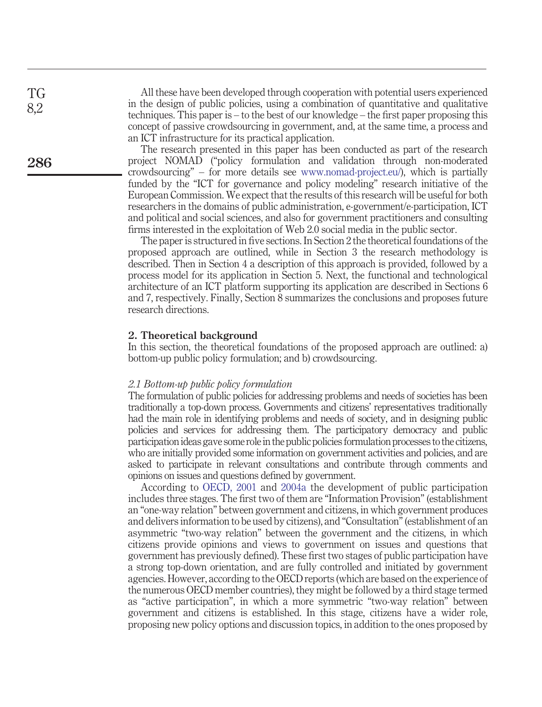All these have been developed through cooperation with potential users experienced in the design of public policies, using a combination of quantitative and qualitative techniques. This paper is  $-$  to the best of our knowledge  $-$  the first paper proposing this concept of passive crowdsourcing in government, and, at the same time, a process and an ICT infrastructure for its practical application.

The research presented in this paper has been conducted as part of the research project NOMAD ("policy formulation and validation through non-moderated crowdsourcing" – for more details see [www.nomad-project.eu/\)](mailto:www.nomad-project.eu/), which is partially funded by the "ICT for governance and policy modeling" research initiative of the European Commission. We expect that the results of this research will be useful for both researchers in the domains of public administration, e-government/e-participation, ICT and political and social sciences, and also for government practitioners and consulting firms interested in the exploitation of Web 2.0 social media in the public sector.

The paper is structured in five sections. In Section 2 the theoretical foundations of the proposed approach are outlined, while in Section 3 the research methodology is described. Then in Section 4 a description of this approach is provided, followed by a process model for its application in Section 5. Next, the functional and technological architecture of an ICT platform supporting its application are described in Sections 6 and 7, respectively. Finally, Section 8 summarizes the conclusions and proposes future research directions.

#### **2. Theoretical background**

In this section, the theoretical foundations of the proposed approach are outlined: a) bottom-up public policy formulation; and b) crowdsourcing.

#### *2.1 Bottom-up public policy formulation*

The formulation of public policies for addressing problems and needs of societies has been traditionally a top-down process. Governments and citizens' representatives traditionally had the main role in identifying problems and needs of society, and in designing public policies and services for addressing them. The participatory democracy and public participation ideas gave some role in the public policies formulation processes to the citizens, who are initially provided some information on government activities and policies, and are asked to participate in relevant consultations and contribute through comments and opinions on issues and questions defined by government.

According to OECD, 2001 and 2004a the development of public participation includes three stages. The first two of them are "Information Provision" (establishment an "one-way relation" between government and citizens, in which government produces and delivers information to be used by citizens), and "Consultation" (establishment of an asymmetric "two-way relation" between the government and the citizens, in which citizens provide opinions and views to government on issues and questions that government has previously defined). These first two stages of public participation have a strong top-down orientation, and are fully controlled and initiated by government agencies. However, according to the OECD reports (which are based on the experience of the numerous OECD member countries), they might be followed by a third stage termed as "active participation", in which a more symmetric "two-way relation" between government and citizens is established. In this stage, citizens have a wider role, proposing new policy options and discussion topics, in addition to the ones proposed by

**286**

TG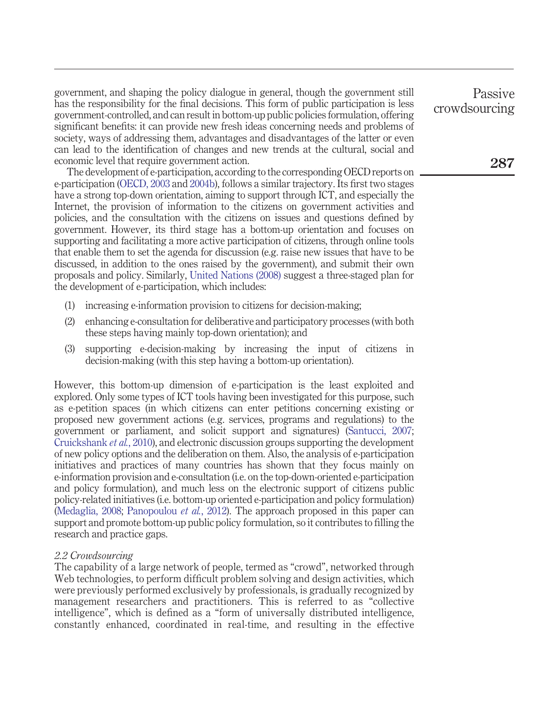government, and shaping the policy dialogue in general, though the government still has the responsibility for the final decisions. This form of public participation is less government-controlled, and can result in bottom-up public policies formulation, offering significant benefits: it can provide new fresh ideas concerning needs and problems of society, ways of addressing them, advantages and disadvantages of the latter or even can lead to the identification of changes and new trends at the cultural, social and economic level that require government action.

The development of e-participation, according to the corresponding OECD reports on e-participation (OECD, 2003 and 2004b), follows a similar trajectory. Its first two stages have a strong top-down orientation, aiming to support through ICT, and especially the Internet, the provision of information to the citizens on government activities and policies, and the consultation with the citizens on issues and questions defined by government. However, its third stage has a bottom-up orientation and focuses on supporting and facilitating a more active participation of citizens, through online tools that enable them to set the agenda for discussion (e.g. raise new issues that have to be discussed, in addition to the ones raised by the government), and submit their own proposals and policy. Similarly, United Nations (2008) suggest a three-staged plan for the development of e-participation, which includes:

- (1) increasing e-information provision to citizens for decision-making;
- (2) enhancing e-consultation for deliberative and participatory processes (with both these steps having mainly top-down orientation); and
- (3) supporting e-decision-making by increasing the input of citizens in decision-making (with this step having a bottom-up orientation).

However, this bottom-up dimension of e-participation is the least exploited and explored. Only some types of ICT tools having been investigated for this purpose, such as e-petition spaces (in which citizens can enter petitions concerning existing or proposed new government actions (e.g. services, programs and regulations) to the government or parliament, and solicit support and signatures) (Santucci, 2007; Cruickshank *et al.*, 2010), and electronic discussion groups supporting the development of new policy options and the deliberation on them. Also, the analysis of e-participation initiatives and practices of many countries has shown that they focus mainly on e-information provision and e-consultation (i.e. on the top-down-oriented e-participation and policy formulation), and much less on the electronic support of citizens public policy-related initiatives (i.e. bottom-up oriented e-participation and policy formulation) (Medaglia, 2008; Panopoulou *et al.*, 2012). The approach proposed in this paper can support and promote bottom-up public policy formulation, so it contributes to filling the research and practice gaps.

### *2.2 Crowdsourcing*

The capability of a large network of people, termed as "crowd", networked through Web technologies, to perform difficult problem solving and design activities, which were previously performed exclusively by professionals, is gradually recognized by management researchers and practitioners. This is referred to as "collective intelligence", which is defined as a "form of universally distributed intelligence, constantly enhanced, coordinated in real-time, and resulting in the effective

Passive crowdsourcing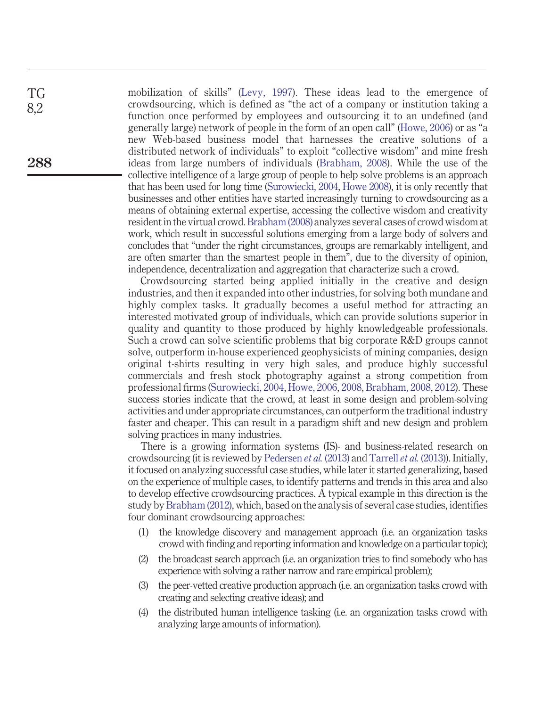TG 8,2

**288**

mobilization of skills" (Levy, 1997). These ideas lead to the emergence of crowdsourcing, which is defined as "the act of a company or institution taking a function once performed by employees and outsourcing it to an undefined (and generally large) network of people in the form of an open call" (Howe, 2006) or as "a new Web-based business model that harnesses the creative solutions of a distributed network of individuals" to exploit "collective wisdom" and mine fresh ideas from large numbers of individuals (Brabham, 2008). While the use of the collective intelligence of a large group of people to help solve problems is an approach that has been used for long time (Surowiecki, 2004, Howe 2008), it is only recently that businesses and other entities have started increasingly turning to crowdsourcing as a means of obtaining external expertise, accessing the collective wisdom and creativity resident in the virtual crowd. Brabham (2008) analyzes several cases of crowd wisdom at work, which result in successful solutions emerging from a large body of solvers and concludes that "under the right circumstances, groups are remarkably intelligent, and are often smarter than the smartest people in them", due to the diversity of opinion, independence, decentralization and aggregation that characterize such a crowd.

Crowdsourcing started being applied initially in the creative and design industries, and then it expanded into other industries, for solving both mundane and highly complex tasks. It gradually becomes a useful method for attracting an interested motivated group of individuals, which can provide solutions superior in quality and quantity to those produced by highly knowledgeable professionals. Such a crowd can solve scientific problems that big corporate R&D groups cannot solve, outperform in-house experienced geophysicists of mining companies, design original t-shirts resulting in very high sales, and produce highly successful commercials and fresh stock photography against a strong competition from professional firms (Surowiecki, 2004, Howe, 2006, 2008, Brabham, 2008, 2012). These success stories indicate that the crowd, at least in some design and problem-solving activities and under appropriate circumstances, can outperform the traditional industry faster and cheaper. This can result in a paradigm shift and new design and problem solving practices in many industries.

There is a growing information systems (IS)- and business-related research on crowdsourcing (it is reviewed by Pedersen *et al.* (2013) and Tarrell *et al.* (2013)). Initially, it focused on analyzing successful case studies, while later it started generalizing, based on the experience of multiple cases, to identify patterns and trends in this area and also to develop effective crowdsourcing practices. A typical example in this direction is the study by Brabham (2012), which, based on the analysis of several case studies, identifies four dominant crowdsourcing approaches:

- (1) the knowledge discovery and management approach (i.e. an organization tasks crowd with finding and reporting information and knowledge on a particular topic);
- (2) the broadcast search approach (i.e. an organization tries to find somebody who has experience with solving a rather narrow and rare empirical problem);
- (3) the peer-vetted creative production approach (i.e. an organization tasks crowd with creating and selecting creative ideas); and
- (4) the distributed human intelligence tasking (i.e. an organization tasks crowd with analyzing large amounts of information).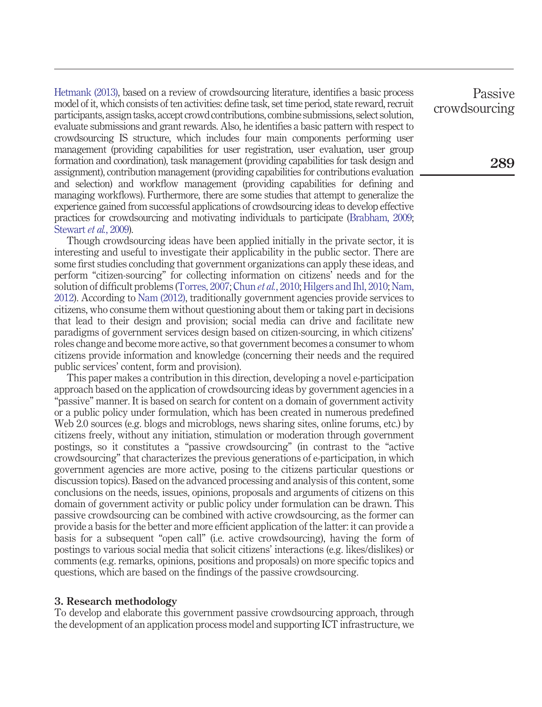Hetmank (2013), based on a review of crowdsourcing literature, identifies a basic process model of it, which consists of ten activities: define task, set time period, state reward, recruit participants, assign tasks, accept crowd contributions, combine submissions, select solution, evaluate submissions and grant rewards. Also, he identifies a basic pattern with respect to crowdsourcing IS structure, which includes four main components performing user management (providing capabilities for user registration, user evaluation, user group formation and coordination), task management (providing capabilities for task design and assignment), contribution management (providing capabilities for contributions evaluation and selection) and workflow management (providing capabilities for defining and managing workflows). Furthermore, there are some studies that attempt to generalize the experience gained from successful applications of crowdsourcing ideas to develop effective practices for crowdsourcing and motivating individuals to participate (Brabham, 2009; Stewart *et al.*, 2009).

Though crowdsourcing ideas have been applied initially in the private sector, it is interesting and useful to investigate their applicability in the public sector. There are some first studies concluding that government organizations can apply these ideas, and perform "citizen-sourcing" for collecting information on citizens' needs and for the solution of difficult problems (Torres, 2007; Chun *et al.*, 2010; Hilgers and Ihl, 2010; Nam, 2012). According to Nam (2012), traditionally government agencies provide services to citizens, who consume them without questioning about them or taking part in decisions that lead to their design and provision; social media can drive and facilitate new paradigms of government services design based on citizen-sourcing, in which citizens' roles change and become more active, so that government becomes a consumer to whom citizens provide information and knowledge (concerning their needs and the required public services' content, form and provision).

This paper makes a contribution in this direction, developing a novel e-participation approach based on the application of crowdsourcing ideas by government agencies in a "passive" manner. It is based on search for content on a domain of government activity or a public policy under formulation, which has been created in numerous predefined Web 2.0 sources (e.g. blogs and microblogs, news sharing sites, online forums, etc.) by citizens freely, without any initiation, stimulation or moderation through government postings, so it constitutes a "passive crowdsourcing" (in contrast to the "active crowdsourcing" that characterizes the previous generations of e-participation, in which government agencies are more active, posing to the citizens particular questions or discussion topics). Based on the advanced processing and analysis of this content, some conclusions on the needs, issues, opinions, proposals and arguments of citizens on this domain of government activity or public policy under formulation can be drawn. This passive crowdsourcing can be combined with active crowdsourcing, as the former can provide a basis for the better and more efficient application of the latter: it can provide a basis for a subsequent "open call" (i.e. active crowdsourcing), having the form of postings to various social media that solicit citizens' interactions (e.g. likes/dislikes) or comments (e.g. remarks, opinions, positions and proposals) on more specific topics and questions, which are based on the findings of the passive crowdsourcing.

### **3. Research methodology**

To develop and elaborate this government passive crowdsourcing approach, through the development of an application process model and supporting ICT infrastructure, we

Passive crowdsourcing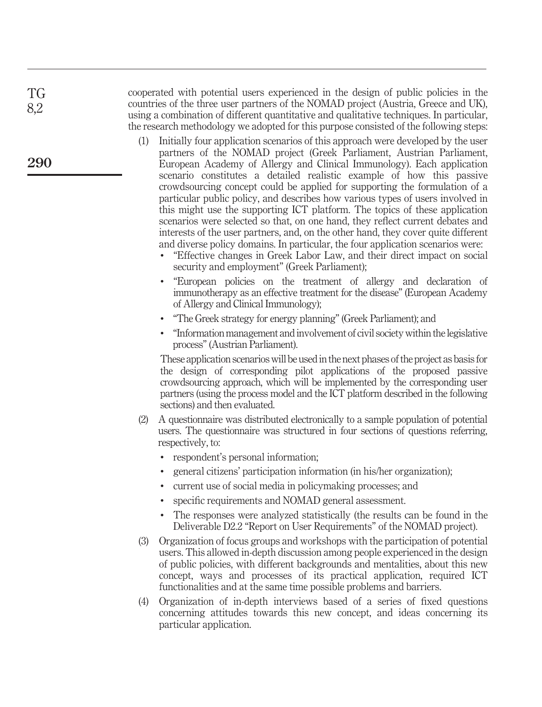cooperated with potential users experienced in the design of public policies in the countries of the three user partners of the NOMAD project (Austria, Greece and UK), using a combination of different quantitative and qualitative techniques. In particular, the research methodology we adopted for this purpose consisted of the following steps:

- Initially four application scenarios of this approach were developed by the user partners of the NOMAD project (Greek Parliament, Austrian Parliament, European Academy of Allergy and Clinical Immunology). Each application scenario constitutes a detailed realistic example of how this passive crowdsourcing concept could be applied for supporting the formulation of a particular public policy, and describes how various types of users involved in this might use the supporting ICT platform. The topics of these application scenarios were selected so that, on one hand, they reflect current debates and interests of the user partners, and, on the other hand, they cover quite different and diverse policy domains. In particular, the four application scenarios were:
	- "Effective changes in Greek Labor Law, and their direct impact on social security and employment" (Greek Parliament);
	- "European policies on the treatment of allergy and declaration of immunotherapy as an effective treatment for the disease" (European Academy of Allergy and Clinical Immunology);
	- "The Greek strategy for energy planning" (Greek Parliament); and
	- "Information management and involvement of civil society within the legislative process" (Austrian Parliament).

These application scenarios will be used in the next phases of the project as basis for the design of corresponding pilot applications of the proposed passive crowdsourcing approach, which will be implemented by the corresponding user partners (using the process model and the ICT platform described in the following sections) and then evaluated.

- (2) A questionnaire was distributed electronically to a sample population of potential users. The questionnaire was structured in four sections of questions referring, respectively, to:
	- respondent's personal information;
	- general citizens' participation information (in his/her organization);
	- current use of social media in policymaking processes; and
	- specific requirements and NOMAD general assessment.
	- The responses were analyzed statistically (the results can be found in the Deliverable D2.2 "Report on User Requirements" of the NOMAD project).
- (3) Organization of focus groups and workshops with the participation of potential users. This allowed in-depth discussion among people experienced in the design of public policies, with different backgrounds and mentalities, about this new concept, ways and processes of its practical application, required ICT functionalities and at the same time possible problems and barriers.
- (4) Organization of in-depth interviews based of a series of fixed questions concerning attitudes towards this new concept, and ideas concerning its particular application.

**290**

TG 8,2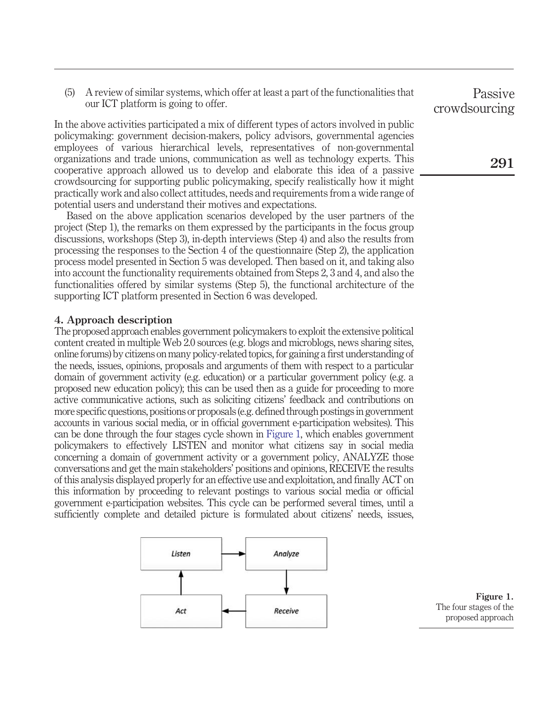(5) A review of similar systems, which offer at least a part of the functionalities that our ICT platform is going to offer.

In the above activities participated a mix of different types of actors involved in public policymaking: government decision-makers, policy advisors, governmental agencies employees of various hierarchical levels, representatives of non-governmental organizations and trade unions, communication as well as technology experts. This cooperative approach allowed us to develop and elaborate this idea of a passive crowdsourcing for supporting public policymaking, specify realistically how it might practically work and also collect attitudes, needs and requirements from a wide range of potential users and understand their motives and expectations.

Based on the above application scenarios developed by the user partners of the project (Step 1), the remarks on them expressed by the participants in the focus group discussions, workshops (Step 3), in-depth interviews (Step 4) and also the results from processing the responses to the Section 4 of the questionnaire (Step 2), the application process model presented in Section 5 was developed. Then based on it, and taking also into account the functionality requirements obtained from Steps 2, 3 and 4, and also the functionalities offered by similar systems (Step 5), the functional architecture of the supporting ICT platform presented in Section 6 was developed.

### **4. Approach description**

The proposed approach enables government policymakers to exploit the extensive political content created in multiple Web 2.0 sources (e.g. blogs and microblogs, news sharing sites, online forums) by citizens on many policy-related topics, for gaining a first understanding of the needs, issues, opinions, proposals and arguments of them with respect to a particular domain of government activity (e.g. education) or a particular government policy (e.g. a proposed new education policy); this can be used then as a guide for proceeding to more active communicative actions, such as soliciting citizens' feedback and contributions on more specific questions, positions or proposals (e.g. defined through postings in government accounts in various social media, or in official government e-participation websites). This can be done through the four stages cycle shown in Figure 1, which enables government policymakers to effectively LISTEN and monitor what citizens say in social media concerning a domain of government activity or a government policy, ANALYZE those conversations and get the main stakeholders' positions and opinions, RECEIVE the results of this analysis displayed properly for an effective use and exploitation, and finally ACT on this information by proceeding to relevant postings to various social media or official government e-participation websites. This cycle can be performed several times, until a sufficiently complete and detailed picture is formulated about citizens' needs, issues,





Passive crowdsourcing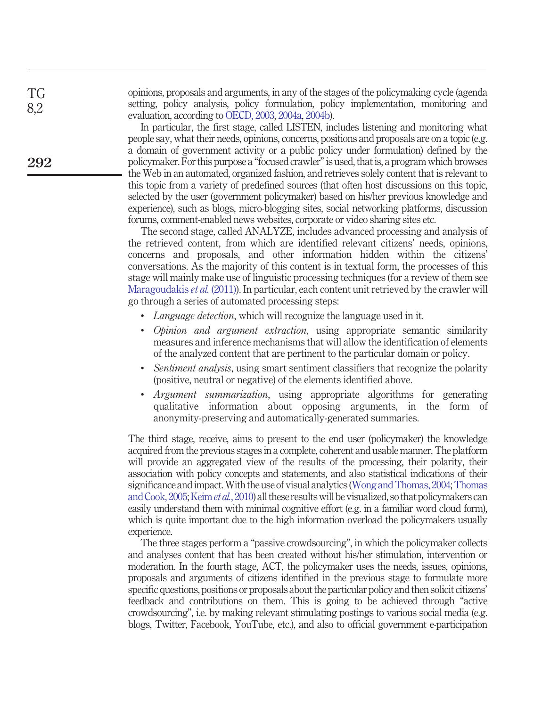opinions, proposals and arguments, in any of the stages of the policymaking cycle (agenda setting, policy analysis, policy formulation, policy implementation, monitoring and evaluation, according to OECD, 2003, 2004a, 2004b).

In particular, the first stage, called LISTEN, includes listening and monitoring what people say, what their needs, opinions, concerns, positions and proposals are on a topic (e.g. a domain of government activity or a public policy under formulation) defined by the policymaker. For this purpose a "focused crawler" is used, that is, a program which browses the Web in an automated, organized fashion, and retrieves solely content that is relevant to this topic from a variety of predefined sources (that often host discussions on this topic, selected by the user (government policymaker) based on his/her previous knowledge and experience), such as blogs, micro-blogging sites, social networking platforms, discussion forums, comment-enabled news websites, corporate or video sharing sites etc.

The second stage, called ANALYZE, includes advanced processing and analysis of the retrieved content, from which are identified relevant citizens' needs, opinions, concerns and proposals, and other information hidden within the citizens' conversations. As the majority of this content is in textual form, the processes of this stage will mainly make use of linguistic processing techniques (for a review of them see Maragoudakis *et al.* (2011)). In particular, each content unit retrieved by the crawler will go through a series of automated processing steps:

- *Language detection*, which will recognize the language used in it.
- *Opinion and argument extraction*, using appropriate semantic similarity measures and inference mechanisms that will allow the identification of elements of the analyzed content that are pertinent to the particular domain or policy.
- *Sentiment analysis*, using smart sentiment classifiers that recognize the polarity (positive, neutral or negative) of the elements identified above.
- *Argument summarization*, using appropriate algorithms for generating qualitative information about opposing arguments, in the form of anonymity-preserving and automatically-generated summaries.

The third stage, receive, aims to present to the end user (policymaker) the knowledge acquired from the previous stages in a complete, coherent and usable manner. The platform will provide an aggregated view of the results of the processing, their polarity, their association with policy concepts and statements, and also statistical indications of their significance and impact.With the use of visual analytics (Wong and Thomas, 2004;Thomas and Cook, 2005; Keim *et al.*, 2010) all these results will be visualized, so that policymakers can easily understand them with minimal cognitive effort (e.g. in a familiar word cloud form), which is quite important due to the high information overload the policymakers usually experience.

The three stages perform a "passive crowdsourcing", in which the policymaker collects and analyses content that has been created without his/her stimulation, intervention or moderation. In the fourth stage, ACT, the policymaker uses the needs, issues, opinions, proposals and arguments of citizens identified in the previous stage to formulate more specific questions, positions or proposals about the particular policy and then solicit citizens' feedback and contributions on them. This is going to be achieved through "active crowdsourcing", i.e. by making relevant stimulating postings to various social media (e.g. blogs, Twitter, Facebook, YouTube, etc.), and also to official government e-participation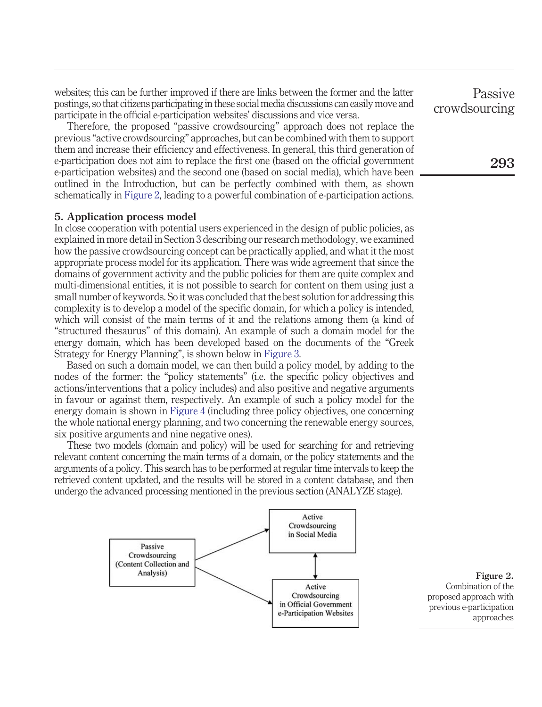websites; this can be further improved if there are links between the former and the latter postings, so that citizens participating in these social media discussions can easily move and participate in the official e-participation websites' discussions and vice versa.

Therefore, the proposed "passive crowdsourcing" approach does not replace the previous "active crowdsourcing" approaches, but can be combined with them to support them and increase their efficiency and effectiveness. In general, this third generation of e-participation does not aim to replace the first one (based on the official government e-participation websites) and the second one (based on social media), which have been outlined in the Introduction, but can be perfectly combined with them, as shown schematically in Figure 2, leading to a powerful combination of e-participation actions.

#### **5. Application process model**

In close cooperation with potential users experienced in the design of public policies, as explained in more detail in Section 3 describing our research methodology, we examined how the passive crowdsourcing concept can be practically applied, and what it the most appropriate process model for its application. There was wide agreement that since the domains of government activity and the public policies for them are quite complex and multi-dimensional entities, it is not possible to search for content on them using just a small number of keywords. So it was concluded that the best solution for addressing this complexity is to develop a model of the specific domain, for which a policy is intended, which will consist of the main terms of it and the relations among them (a kind of "structured thesaurus" of this domain). An example of such a domain model for the energy domain, which has been developed based on the documents of the "Greek Strategy for Energy Planning", is shown below in Figure 3.

Based on such a domain model, we can then build a policy model, by adding to the nodes of the former: the "policy statements" (i.e. the specific policy objectives and actions/interventions that a policy includes) and also positive and negative arguments in favour or against them, respectively. An example of such a policy model for the energy domain is shown in Figure 4 (including three policy objectives, one concerning the whole national energy planning, and two concerning the renewable energy sources, six positive arguments and nine negative ones).

These two models (domain and policy) will be used for searching for and retrieving relevant content concerning the main terms of a domain, or the policy statements and the arguments of a policy. This search has to be performed at regular time intervals to keep the retrieved content updated, and the results will be stored in a content database, and then undergo the advanced processing mentioned in the previous section (ANALYZE stage).



**Figure 2.** Combination of the proposed approach with previous e-participation approaches

### Passive crowdsourcing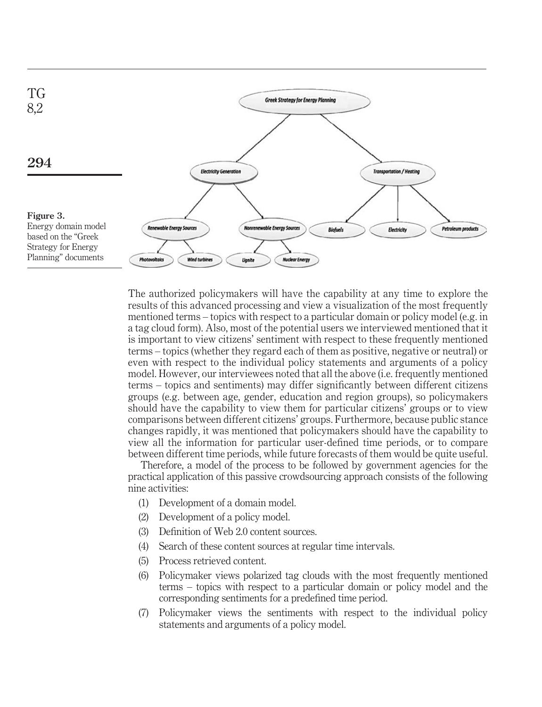

The authorized policymakers will have the capability at any time to explore the results of this advanced processing and view a visualization of the most frequently mentioned terms – topics with respect to a particular domain or policy model (e.g. in a tag cloud form). Also, most of the potential users we interviewed mentioned that it is important to view citizens' sentiment with respect to these frequently mentioned terms – topics (whether they regard each of them as positive, negative or neutral) or even with respect to the individual policy statements and arguments of a policy model. However, our interviewees noted that all the above (i.e. frequently mentioned terms – topics and sentiments) may differ significantly between different citizens groups (e.g. between age, gender, education and region groups), so policymakers should have the capability to view them for particular citizens' groups or to view comparisons between different citizens' groups. Furthermore, because public stance changes rapidly, it was mentioned that policymakers should have the capability to view all the information for particular user-defined time periods, or to compare between different time periods, while future forecasts of them would be quite useful.

Therefore, a model of the process to be followed by government agencies for the practical application of this passive crowdsourcing approach consists of the following nine activities:

- (1) Development of a domain model.
- (2) Development of a policy model.
- (3) Definition of Web 2.0 content sources.
- (4) Search of these content sources at regular time intervals.
- (5) Process retrieved content.
- (6) Policymaker views polarized tag clouds with the most frequently mentioned terms – topics with respect to a particular domain or policy model and the corresponding sentiments for a predefined time period.
- (7) Policymaker views the sentiments with respect to the individual policy statements and arguments of a policy model.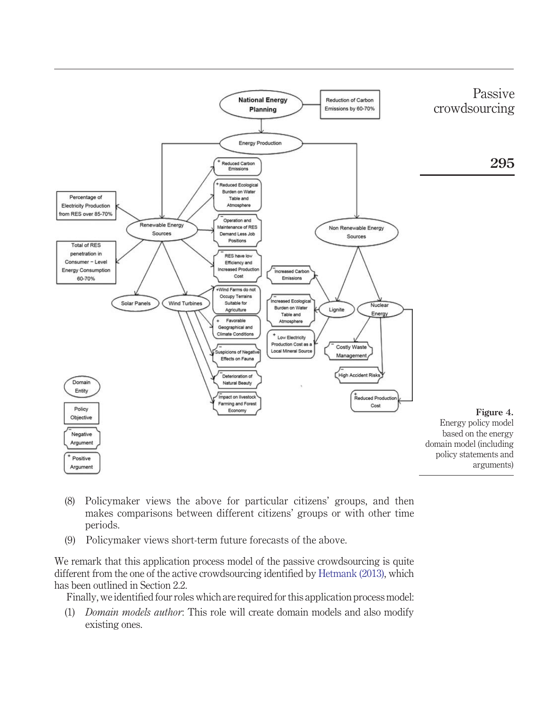

- (8) Policymaker views the above for particular citizens' groups, and then makes comparisons between different citizens' groups or with other time periods.
- (9) Policymaker views short-term future forecasts of the above.

We remark that this application process model of the passive crowdsourcing is quite different from the one of the active crowdsourcing identified by Hetmank (2013), which has been outlined in Section 2.2.

Finally, we identified four roles which are required for this application process model:

(1) *Domain models author*: This role will create domain models and also modify existing ones.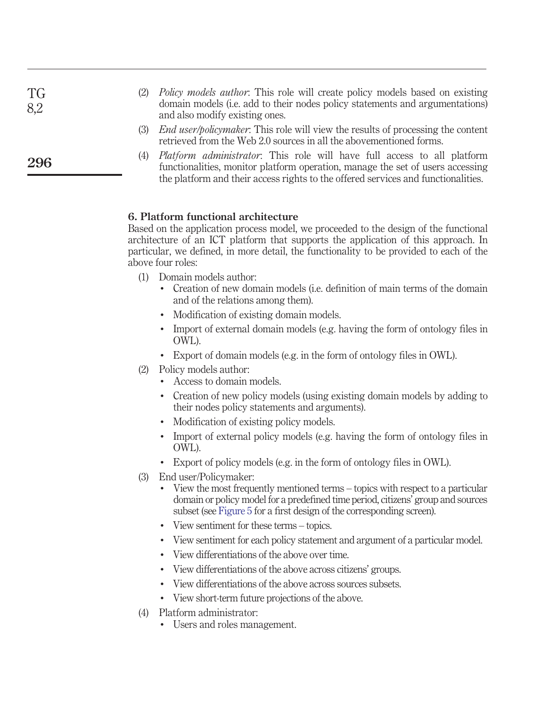| (2) <i>Policy models author</i> : This role will create policy models based on existing |
|-----------------------------------------------------------------------------------------|
| domain models (i.e. add to their nodes policy statements and argumentations)            |
| and also modify existing ones.                                                          |

- (3) *End user/policymaker*: This role will view the results of processing the content retrieved from the Web 2.0 sources in all the abovementioned forms.
- (4) *Platform administrator*: This role will have full access to all platform functionalities, monitor platform operation, manage the set of users accessing the platform and their access rights to the offered services and functionalities.

### **6. Platform functional architecture**

Based on the application process model, we proceeded to the design of the functional architecture of an ICT platform that supports the application of this approach. In particular, we defined, in more detail, the functionality to be provided to each of the above four roles:

(1) Domain models author:

TG 8,2

- Creation of new domain models (i.e. definition of main terms of the domain and of the relations among them).
- Modification of existing domain models.
- Import of external domain models (e.g. having the form of ontology files in OWL).
- Export of domain models (e.g. in the form of ontology files in OWL).
- (2) Policy models author:
	- Access to domain models.
	- Creation of new policy models (using existing domain models by adding to their nodes policy statements and arguments).
	- Modification of existing policy models.
	- Import of external policy models (e.g. having the form of ontology files in OWL).
	- Export of policy models (e.g. in the form of ontology files in OWL).
- (3) End user/Policymaker:
	- View the most frequently mentioned terms topics with respect to a particular domain or policy model for a predefined time period, citizens' group and sources subset (see Figure 5 for a first design of the corresponding screen).
	- View sentiment for these terms topics.
	- View sentiment for each policy statement and argument of a particular model.
	- View differentiations of the above over time.
	- View differentiations of the above across citizens' groups.
	- View differentiations of the above across sources subsets.
	- View short-term future projections of the above.
- (4) Platform administrator:
	- Users and roles management.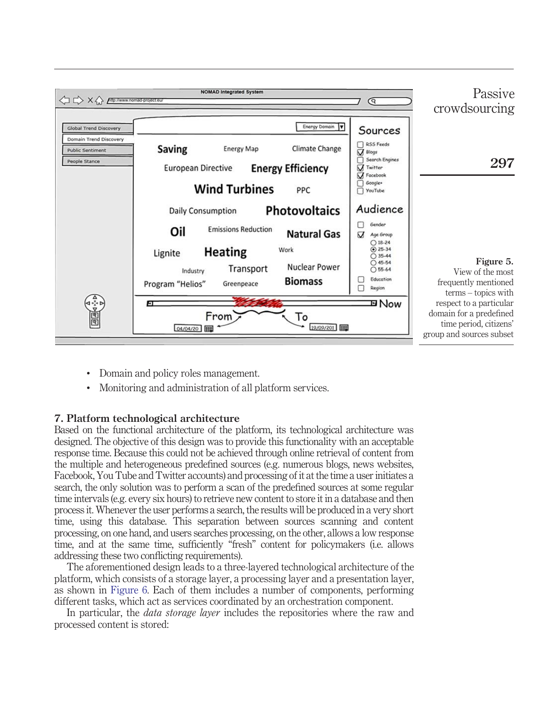

- Domain and policy roles management.
- Monitoring and administration of all platform services.

### **7. Platform technological architecture**

Based on the functional architecture of the platform, its technological architecture was designed. The objective of this design was to provide this functionality with an acceptable response time. Because this could not be achieved through online retrieval of content from the multiple and heterogeneous predefined sources (e.g. numerous blogs, news websites, Facebook, You Tube and Twitter accounts) and processing of it at the time a user initiates a search, the only solution was to perform a scan of the predefined sources at some regular time intervals (e.g. every six hours) to retrieve new content to store it in a database and then process it. Whenever the user performs a search, the results will be produced in a very short time, using this database. This separation between sources scanning and content processing, on one hand, and users searches processing, on the other, allows a low response time, and at the same time, sufficiently "fresh" content for policymakers (i.e. allows addressing these two conflicting requirements).

The aforementioned design leads to a three-layered technological architecture of the platform, which consists of a storage layer, a processing layer and a presentation layer, as shown in Figure 6. Each of them includes a number of components, performing different tasks, which act as services coordinated by an orchestration component.

In particular, the *data storage layer* includes the repositories where the raw and processed content is stored: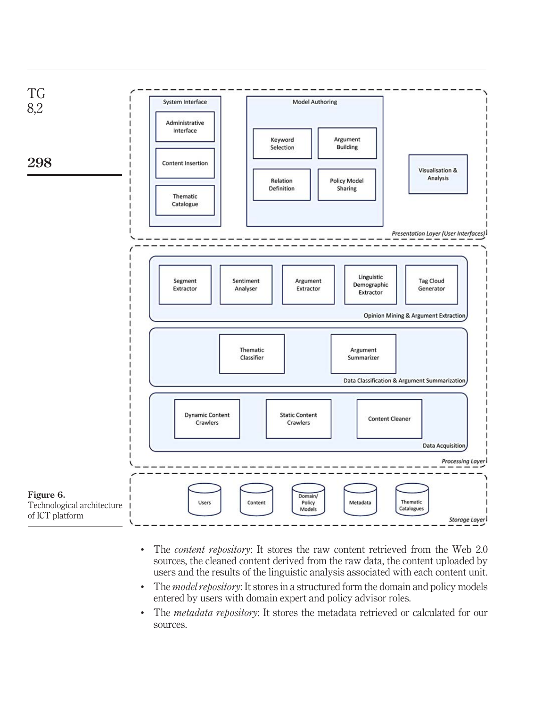

- The *content repository*: It stores the raw content retrieved from the Web 2.0 sources, the cleaned content derived from the raw data, the content uploaded by users and the results of the linguistic analysis associated with each content unit.
- The *model repository*: It stores in a structured form the domain and policy models entered by users with domain expert and policy advisor roles.
- The *metadata repository*: It stores the metadata retrieved or calculated for our sources.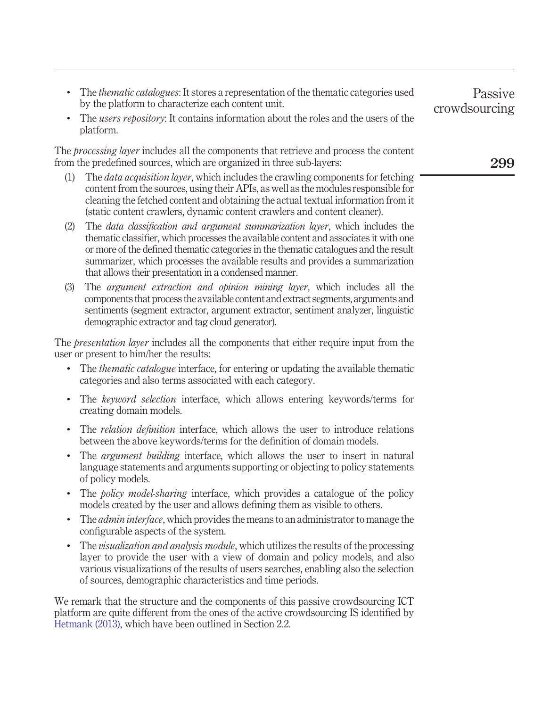| Passive<br>crowdsourcing | The <i>thematic catalogues</i> : It stores a representation of the thematic categories used<br>by the platform to characterize each content unit.<br>The <i>users repository</i> : It contains information about the roles and the users of the<br>platform. | $\bullet$<br>$\bullet$ |
|--------------------------|--------------------------------------------------------------------------------------------------------------------------------------------------------------------------------------------------------------------------------------------------------------|------------------------|
| 299                      | The <i>processing layer</i> includes all the components that retrieve and process the content<br>from the predefined sources, which are organized in three sub-layers:                                                                                       |                        |

- (1) The *data acquisition layer*, which includes the crawling components for fetching content from the sources, using their APIs, as well as the modules responsible for cleaning the fetched content and obtaining the actual textual information from it (static content crawlers, dynamic content crawlers and content cleaner).
- (2) The *data classification and argument summarization layer*, which includes the thematic classifier, which processes the available content and associates it with one or more of the defined thematic categories in the thematic catalogues and the result summarizer, which processes the available results and provides a summarization that allows their presentation in a condensed manner.
- (3) The *argument extraction and opinion mining layer*, which includes all the components that process the available content and extract segments, arguments and sentiments (segment extractor, argument extractor, sentiment analyzer, linguistic demographic extractor and tag cloud generator).

The *presentation layer* includes all the components that either require input from the user or present to him/her the results:

- The *thematic catalogue* interface, for entering or updating the available thematic categories and also terms associated with each category.
- The *keyword selection* interface, which allows entering keywords/terms for creating domain models.
- The *relation definition* interface, which allows the user to introduce relations between the above keywords/terms for the definition of domain models.
- The *argument building* interface, which allows the user to insert in natural language statements and arguments supporting or objecting to policy statements of policy models.
- The *policy model-sharing* interface, which provides a catalogue of the policy models created by the user and allows defining them as visible to others.
- The *admin interface*, which provides the means to an administrator to manage the configurable aspects of the system.
- The *visualization and analysis module*, which utilizes the results of the processing layer to provide the user with a view of domain and policy models, and also various visualizations of the results of users searches, enabling also the selection of sources, demographic characteristics and time periods.

We remark that the structure and the components of this passive crowdsourcing ICT platform are quite different from the ones of the active crowdsourcing IS identified by Hetmank (2013), which have been outlined in Section 2.2.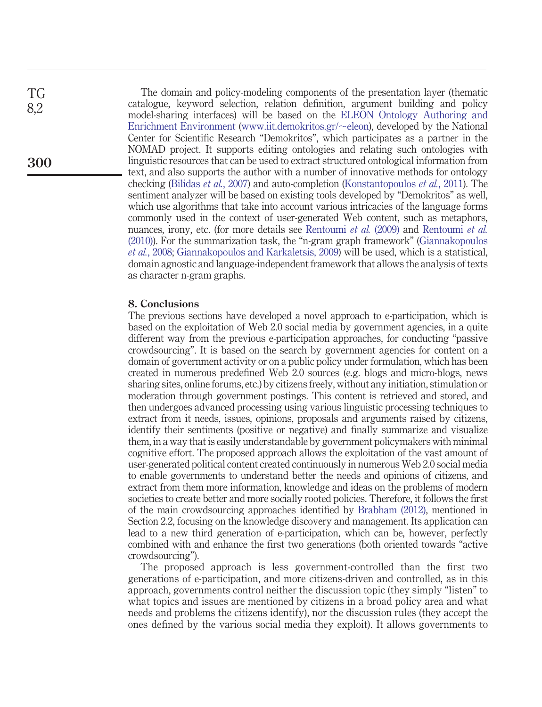TG 8,2

**300**

The domain and policy-modeling components of the presentation layer (thematic catalogue, keyword selection, relation definition, argument building and policy model-sharing interfaces) will be based on the ELEON Ontology Authoring and Enrichment Environment [\(www.iit.demokritos.gr/](http://www.iit.demokritos.gr/~eleon)~eleon), developed by the National Center for Scientific Research "Demokritos", which participates as a partner in the NOMAD project. It supports editing ontologies and relating such ontologies with linguistic resources that can be used to extract structured ontological information from text, and also supports the author with a number of innovative methods for ontology checking (Bilidas *et al.*, 2007) and auto-completion (Konstantopoulos *et al.*, 2011). The sentiment analyzer will be based on existing tools developed by "Demokritos" as well, which use algorithms that take into account various intricacies of the language forms commonly used in the context of user-generated Web content, such as metaphors, nuances, irony, etc. (for more details see Rentoumi *et al.* (2009) and Rentoumi *et al.* (2010)). For the summarization task, the "n-gram graph framework" (Giannakopoulos *et al.*, 2008; Giannakopoulos and Karkaletsis, 2009) will be used, which is a statistical, domain agnostic and language-independent framework that allows the analysis of texts as character n-gram graphs.

### **8. Conclusions**

The previous sections have developed a novel approach to e-participation, which is based on the exploitation of Web 2.0 social media by government agencies, in a quite different way from the previous e-participation approaches, for conducting "passive crowdsourcing". It is based on the search by government agencies for content on a domain of government activity or on a public policy under formulation, which has been created in numerous predefined Web 2.0 sources (e.g. blogs and micro-blogs, news sharing sites, online forums, etc.) by citizens freely, without any initiation, stimulation or moderation through government postings. This content is retrieved and stored, and then undergoes advanced processing using various linguistic processing techniques to extract from it needs, issues, opinions, proposals and arguments raised by citizens, identify their sentiments (positive or negative) and finally summarize and visualize them, in a way that is easily understandable by government policymakers with minimal cognitive effort. The proposed approach allows the exploitation of the vast amount of user-generated political content created continuously in numerous Web 2.0 social media to enable governments to understand better the needs and opinions of citizens, and extract from them more information, knowledge and ideas on the problems of modern societies to create better and more socially rooted policies. Therefore, it follows the first of the main crowdsourcing approaches identified by Brabham (2012), mentioned in Section 2.2, focusing on the knowledge discovery and management. Its application can lead to a new third generation of e-participation, which can be, however, perfectly combined with and enhance the first two generations (both oriented towards "active crowdsourcing").

The proposed approach is less government-controlled than the first two generations of e-participation, and more citizens-driven and controlled, as in this approach, governments control neither the discussion topic (they simply "listen" to what topics and issues are mentioned by citizens in a broad policy area and what needs and problems the citizens identify), nor the discussion rules (they accept the ones defined by the various social media they exploit). It allows governments to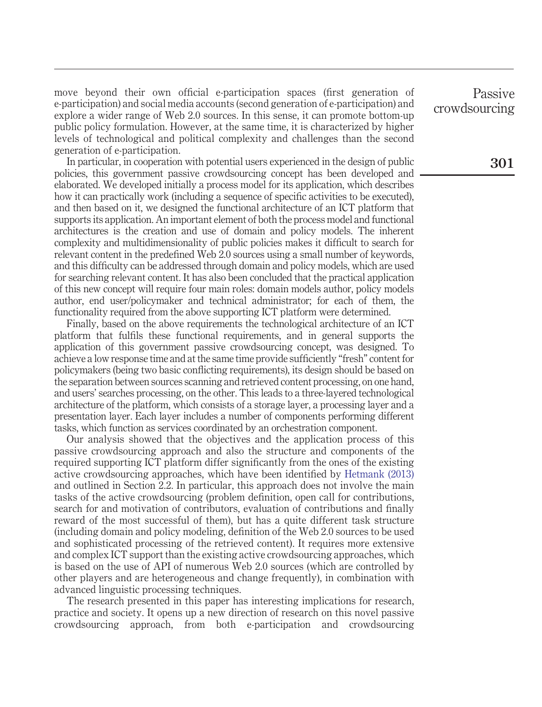move beyond their own official e-participation spaces (first generation of e-participation) and social media accounts (second generation of e-participation) and explore a wider range of Web 2.0 sources. In this sense, it can promote bottom-up public policy formulation. However, at the same time, it is characterized by higher levels of technological and political complexity and challenges than the second generation of e-participation.

In particular, in cooperation with potential users experienced in the design of public policies, this government passive crowdsourcing concept has been developed and elaborated. We developed initially a process model for its application, which describes how it can practically work (including a sequence of specific activities to be executed), and then based on it, we designed the functional architecture of an ICT platform that supports its application. An important element of both the process model and functional architectures is the creation and use of domain and policy models. The inherent complexity and multidimensionality of public policies makes it difficult to search for relevant content in the predefined Web 2.0 sources using a small number of keywords, and this difficulty can be addressed through domain and policy models, which are used for searching relevant content. It has also been concluded that the practical application of this new concept will require four main roles: domain models author, policy models author, end user/policymaker and technical administrator; for each of them, the functionality required from the above supporting ICT platform were determined.

Finally, based on the above requirements the technological architecture of an ICT platform that fulfils these functional requirements, and in general supports the application of this government passive crowdsourcing concept, was designed. To achieve a low response time and at the same time provide sufficiently "fresh" content for policymakers (being two basic conflicting requirements), its design should be based on the separation between sources scanning and retrieved content processing, on one hand, and users' searches processing, on the other. This leads to a three-layered technological architecture of the platform, which consists of a storage layer, a processing layer and a presentation layer. Each layer includes a number of components performing different tasks, which function as services coordinated by an orchestration component.

Our analysis showed that the objectives and the application process of this passive crowdsourcing approach and also the structure and components of the required supporting ICT platform differ significantly from the ones of the existing active crowdsourcing approaches, which have been identified by Hetmank (2013) and outlined in Section 2.2. In particular, this approach does not involve the main tasks of the active crowdsourcing (problem definition, open call for contributions, search for and motivation of contributors, evaluation of contributions and finally reward of the most successful of them), but has a quite different task structure (including domain and policy modeling, definition of the Web 2.0 sources to be used and sophisticated processing of the retrieved content). It requires more extensive and complex ICT support than the existing active crowdsourcing approaches, which is based on the use of API of numerous Web 2.0 sources (which are controlled by other players and are heterogeneous and change frequently), in combination with advanced linguistic processing techniques.

The research presented in this paper has interesting implications for research, practice and society. It opens up a new direction of research on this novel passive crowdsourcing approach, from both e-participation and crowdsourcing

### Passive crowdsourcing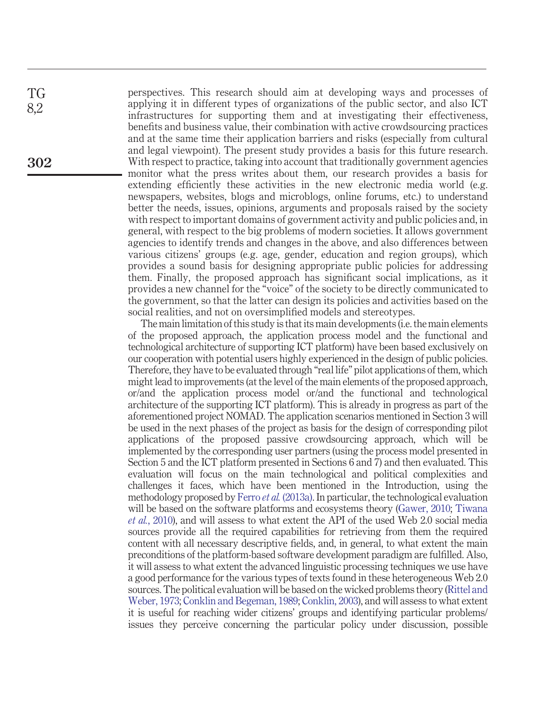perspectives. This research should aim at developing ways and processes of applying it in different types of organizations of the public sector, and also ICT infrastructures for supporting them and at investigating their effectiveness, benefits and business value, their combination with active crowdsourcing practices and at the same time their application barriers and risks (especially from cultural and legal viewpoint). The present study provides a basis for this future research. With respect to practice, taking into account that traditionally government agencies monitor what the press writes about them, our research provides a basis for extending efficiently these activities in the new electronic media world (e.g. newspapers, websites, blogs and microblogs, online forums, etc.) to understand better the needs, issues, opinions, arguments and proposals raised by the society with respect to important domains of government activity and public policies and, in general, with respect to the big problems of modern societies. It allows government agencies to identify trends and changes in the above, and also differences between various citizens' groups (e.g. age, gender, education and region groups), which provides a sound basis for designing appropriate public policies for addressing them. Finally, the proposed approach has significant social implications, as it provides a new channel for the "voice" of the society to be directly communicated to the government, so that the latter can design its policies and activities based on the social realities, and not on oversimplified models and stereotypes.

The main limitation of this study is that its main developments (i.e. the main elements of the proposed approach, the application process model and the functional and technological architecture of supporting ICT platform) have been based exclusively on our cooperation with potential users highly experienced in the design of public policies. Therefore, they have to be evaluated through "real life" pilot applications of them, which might lead to improvements (at the level of the main elements of the proposed approach, or/and the application process model or/and the functional and technological architecture of the supporting ICT platform). This is already in progress as part of the aforementioned project NOMAD. The application scenarios mentioned in Section 3 will be used in the next phases of the project as basis for the design of corresponding pilot applications of the proposed passive crowdsourcing approach, which will be implemented by the corresponding user partners (using the process model presented in Section 5 and the ICT platform presented in Sections 6 and 7) and then evaluated. This evaluation will focus on the main technological and political complexities and challenges it faces, which have been mentioned in the Introduction, using the methodology proposed by Ferro *et al.* (2013a). In particular, the technological evaluation will be based on the software platforms and ecosystems theory (Gawer, 2010; Tiwana *et al.*, 2010), and will assess to what extent the API of the used Web 2.0 social media sources provide all the required capabilities for retrieving from them the required content with all necessary descriptive fields, and, in general, to what extent the main preconditions of the platform-based software development paradigm are fulfilled. Also, it will assess to what extent the advanced linguistic processing techniques we use have a good performance for the various types of texts found in these heterogeneous Web 2.0 sources. The political evaluation will be based on the wicked problems theory (Rittel and Weber, 1973; Conklin and Begeman, 1989; Conklin, 2003), and will assess to what extent it is useful for reaching wider citizens' groups and identifying particular problems/ issues they perceive concerning the particular policy under discussion, possible

TG 8,2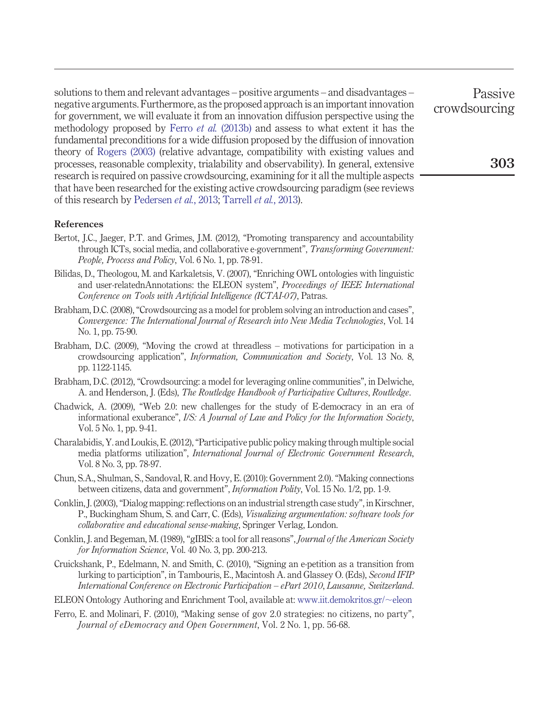solutions to them and relevant advantages – positive arguments – and disadvantages – negative arguments. Furthermore, as the proposed approach is an important innovation for government, we will evaluate it from an innovation diffusion perspective using the methodology proposed by Ferro *et al.* (2013b) and assess to what extent it has the fundamental preconditions for a wide diffusion proposed by the diffusion of innovation theory of Rogers (2003) (relative advantage, compatibility with existing values and processes, reasonable complexity, trialability and observability). In general, extensive research is required on passive crowdsourcing, examining for it all the multiple aspects that have been researched for the existing active crowdsourcing paradigm (see reviews of this research by Pedersen *et al.*, 2013; Tarrell *et al.*, 2013).

### **References**

- Bertot, J.C., Jaeger, P.T. and Grimes, J.M. (2012), "Promoting transparency and accountability through ICTs, social media, and collaborative e-government", *Transforming Government: People, Process and Policy*, Vol. 6 No. 1, pp. 78-91.
- Bilidas, D., Theologou, M. and Karkaletsis, V. (2007), "Enriching OWL ontologies with linguistic and user-relatednAnnotations: the ELEON system", *Proceedings of IEEE International Conference on Tools with Artificial Intelligence (ICTAI-07)*, Patras.
- Brabham, D.C. (2008), "Crowdsourcing as a model for problem solving an introduction and cases", *Convergence: The International Journal of Research into New Media Technologies*, Vol. 14 No. 1, pp. 75-90.
- Brabham, D.C. (2009), "Moving the crowd at threadless motivations for participation in a crowdsourcing application", *Information, Communication and Society*, Vol. 13 No. 8, pp. 1122-1145.
- Brabham, D.C. (2012), "Crowdsourcing: a model for leveraging online communities", in Delwiche, A. and Henderson, J. (Eds), *The Routledge Handbook of Participative Cultures*, *Routledge*.
- Chadwick, A. (2009), "Web 2.0: new challenges for the study of E-democracy in an era of informational exuberance", *I/S: A Journal of Law and Policy for the Information Society*, Vol. 5 No. 1, pp. 9-41.
- Charalabidis, Y. and Loukis, E. (2012), "Participative public policy making through multiple social media platforms utilization", *International Journal of Electronic Government Research*, Vol. 8 No. 3, pp. 78-97.
- Chun, S.A., Shulman, S., Sandoval, R. and Hovy, E. (2010): Government 2.0). "Making connections between citizens, data and government", *Information Polity*, Vol. 15 No. 1/2, pp. 1-9.
- Conklin, J. (2003), "Dialog mapping: reflections on an industrial strength case study", in Kirschner, P., Buckingham Shum, S. and Carr, C. (Eds), *Visualizing argumentation: software tools for collaborative and educational sense-making*, Springer Verlag, London.
- Conklin, J. and Begeman, M. (1989), "gIBIS: a tool for all reasons", *Journal of the American Society for Information Science*, Vol. 40 No. 3, pp. 200-213.
- Cruickshank, P., Edelmann, N. and Smith, C. (2010), "Signing an e-petition as a transition from lurking to particiption", in Tambouris, E., Macintosh A. and Glassey O. (Eds), *Second IFIP International Conference on Electronic Participation – ePart 2010*, *Lausanne, Switzerland*.
- ELEON Ontology Authoring and Enrichment Tool, available at: [www.iit.demokritos.gr/](http://www.iit.demokritos.gr/~eleon)-eleon
- Ferro, E. and Molinari, F. (2010), "Making sense of gov 2.0 strategies: no citizens, no party", *Journal of eDemocracy and Open Government*, Vol. 2 No. 1, pp. 56-68.

### Passive crowdsourcing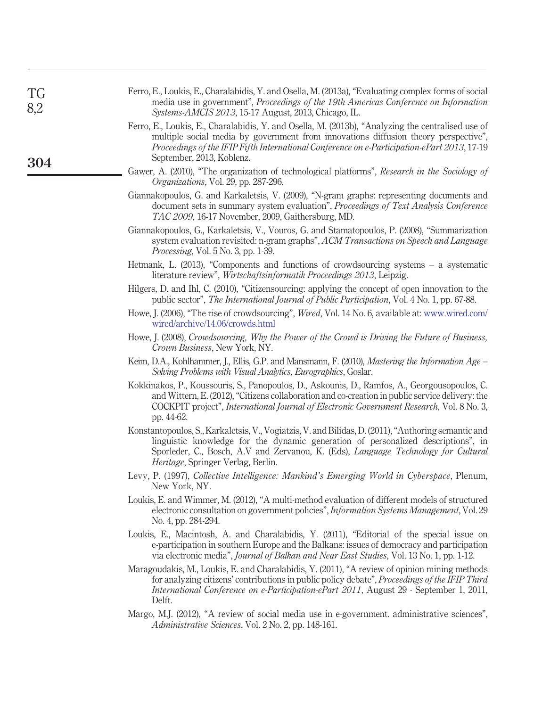| <b>TG</b><br>8,2 | Ferro, E., Loukis, E., Charalabidis, Y. and Osella, M. (2013a), "Evaluating complex forms of social<br>media use in government", Proceedings of the 19th Americas Conference on Information<br>Systems-AMCIS 2013, 15-17 August, 2013, Chicago, IL.                                                                          |
|------------------|------------------------------------------------------------------------------------------------------------------------------------------------------------------------------------------------------------------------------------------------------------------------------------------------------------------------------|
| 304              | Ferro, E., Loukis, E., Charalabidis, Y. and Osella, M. (2013b), "Analyzing the centralised use of<br>multiple social media by government from innovations diffusion theory perspective",<br>Proceedings of the IFIP Fifth International Conference on e-Participation-ePart 2013, 17-19<br>September, 2013, Koblenz.         |
|                  | Gawer, A. (2010), "The organization of technological platforms", Research in the Sociology of<br>Organizations, Vol. 29, pp. 287-296.                                                                                                                                                                                        |
|                  | Giannakopoulos, G. and Karkaletsis, V. (2009), "N-gram graphs: representing documents and<br>document sets in summary system evaluation", Proceedings of Text Analysis Conference<br>TAC 2009, 16-17 November, 2009, Gaithersburg, MD.                                                                                       |
|                  | Giannakopoulos, G., Karkaletsis, V., Vouros, G. and Stamatopoulos, P. (2008), "Summarization<br>system evaluation revisited: n-gram graphs", ACM Transactions on Speech and Language<br>Processing, Vol. 5 No. 3, pp. 1-39.                                                                                                  |
|                  | Hetmank, L. (2013), "Components and functions of crowdsourcing systems $-$ a systematic<br>literature review", Wirtschaftsinformatik Proceedings 2013, Leipzig.                                                                                                                                                              |
|                  | Hilgers, D. and Ihl, C. (2010), "Citizensourcing: applying the concept of open innovation to the<br>public sector", <i>The International Journal of Public Participation</i> , Vol. 4 No. 1, pp. 67-88.                                                                                                                      |
|                  | Howe, J. (2006), "The rise of crowdsourcing", Wired, Vol. 14 No. 6, available at: www.wired.com/<br>wired/archive/14.06/crowds.html                                                                                                                                                                                          |
|                  | Howe, J. (2008), Crowdsourcing, Why the Power of the Crowd is Driving the Future of Business,<br>Crown Business, New York, NY.                                                                                                                                                                                               |
|                  | Keim, D.A., Kohlhammer, J., Ellis, G.P. and Mansmann, F. (2010), Mastering the Information Age –<br>Solving Problems with Visual Analytics, Eurographics, Goslar.                                                                                                                                                            |
|                  | Kokkinakos, P., Koussouris, S., Panopoulos, D., Askounis, D., Ramfos, A., Georgousopoulos, C.<br>and Wittern, E. (2012), "Citizens collaboration and co-creation in public service delivery: the<br>COCKPIT project", International Journal of Electronic Government Research, Vol. 8 No. 3,<br>pp. 44-62.                   |
|                  | Konstantopoulos, S., Karkaletsis, V., Vogiatzis, V. and Bilidas, D. (2011), "Authoring semantic and<br>linguistic knowledge for the dynamic generation of personalized descriptions", in<br>Sporleder, C., Bosch, A.V and Zervanou, K. (Eds), Language Technology for Cultural<br><i>Heritage</i> , Springer Verlag, Berlin. |
|                  | Levy, P. (1997), Collective Intelligence: Mankind's Emerging World in Cyberspace, Plenum,<br>New York, NY.                                                                                                                                                                                                                   |
|                  | Loukis, E. and Wimmer, M. (2012), "A multi-method evaluation of different models of structured<br>electronic consultation on government policies", Information Systems Management, Vol. 29<br>No. 4, pp. 284-294.                                                                                                            |
|                  | Loukis, E., Macintosh, A. and Charalabidis, Y. (2011), "Editorial of the special issue on<br>e-participation in southern Europe and the Balkans: issues of democracy and participation<br>via electronic media", Journal of Balkan and Near East Studies, Vol. 13 No. 1, pp. 1-12.                                           |
|                  | Maragoudakis, M., Loukis, E. and Charalabidis, Y. (2011), "A review of opinion mining methods<br>for analyzing citizens' contributions in public policy debate", Proceedings of the IFIP Third<br>International Conference on e-Participation-ePart 2011, August 29 - September 1, 2011,<br>Delft.                           |
|                  | Margo, M.J. (2012), "A review of social media use in e-government. administrative sciences",<br>Administrative Sciences, Vol. 2 No. 2, pp. 148-161.                                                                                                                                                                          |
|                  |                                                                                                                                                                                                                                                                                                                              |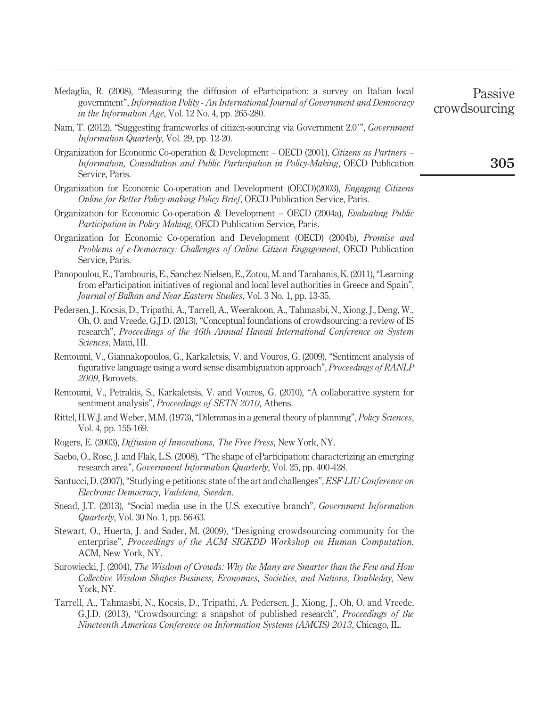- Medaglia, R. (2008), "Measuring the diffusion of eParticipation: a survey on Italian local government", *Information Polity - An International Journal of Government and Democracy in the Information Age*, Vol. 12 No. 4, pp. 265-280.
- Nam, T. (2012), "Suggesting frameworks of citizen-sourcing via Government 2.0"", *Government Information Quarterly*, Vol. 29, pp. 12-20.
- Organization for Economic Co-operation & Development OECD (2001), *Citizens as Partners – Information, Consultation and Public Participation in Policy-Making*, OECD Publication Service, Paris.
- Organization for Economic Co-operation and Development (OECD)(2003), *Engaging Citizens Online for Better Policy-making-Policy Brief*, OECD Publication Service, Paris.
- Organization for Economic Co-operation & Development OECD (2004a), *Evaluating Public Participation in Policy Making*, OECD Publication Service, Paris.
- Organization for Economic Co-operation and Development (OECD) (2004b), *Promise and Problems of e-Democracy: Challenges of Online Citizen Engagement*, OECD Publication Service, Paris.
- Panopoulou, E., Tambouris, E., Sanchez-Nielsen, E., Zotou, M. and Tarabanis, K. (2011), "Learning from eParticipation initiatives of regional and local level authorities in Greece and Spain", *Journal of Balkan and Near Eastern Studies*, Vol. 3 No. 1, pp. 13-35.
- Pedersen, J., Kocsis, D., Tripathi, A., Tarrell, A., Weerakoon, A., Tahmasbi, N., Xiong, J., Deng, W., Oh, O. and Vreede, G.J.D. (2013), "Conceptual foundations of crowdsourcing: a review of IS research", *Proceedings of the 46th Annual Hawaii International Conference on System Sciences*, Maui, HI.
- Rentoumi, V., Giannakopoulos, G., Karkaletsis, V. and Vouros, G. (2009), "Sentiment analysis of figurative language using a word sense disambiguation approach", *Proceedings of RANLP 2009*, Borovets.
- Rentoumi, V., Petrakis, S., Karkaletsis, V. and Vouros, G. (2010), "A collaborative system for sentiment analysis", *Proceedings of SETN 2010*, Athens.
- Rittel, H.W.J. and Weber, M.M. (1973), "Dilemmas in a general theory of planning", *Policy Sciences*, Vol. 4, pp. 155-169.
- Rogers, E. (2003), *Diffusion of Innovations, The Free Press*, New York, NY.
- Saebo, O., Rose, J. and Flak, L.S. (2008), "The shape of eParticipation: characterizing an emerging research area", *Government Information Quarterly*, Vol. 25, pp. 400-428.
- Santucci, D. (2007), "Studying e-petitions: state of the art and challenges", *ESF-LIU Conference on Electronic Democracy*, *Vadstena, Sweden*.
- Snead, J.T. (2013), "Social media use in the U.S. executive branch", *Government Information Quarterly*, Vol. 30 No. 1, pp. 56-63.
- Stewart, O., Huerta, J. and Sader, M. (2009), "Designing crowdsourcing community for the enterprise", *Proceedings of the ACM SIGKDD Workshop on Human Computation*, ACM, New York, NY.
- Surowiecki, J. (2004), *The Wisdom of Crowds: Why the Many are Smarter than the Few and How Collective Wisdom Shapes Business, Economies, Societies, and Nations, Doubleday*, New York, NY.
- Tarrell, A., Tahmasbi, N., Kocsis, D., Tripathi, A. Pedersen, J., Xiong, J., Oh, O. and Vreede, G.J.D. (2013), "Crowdsourcing: a snapshot of published research", *Proceedings of the Nineteenth Americas Conference on Information Systems (AMCIS) 2013*, Chicago, IL.

### Passive crowdsourcing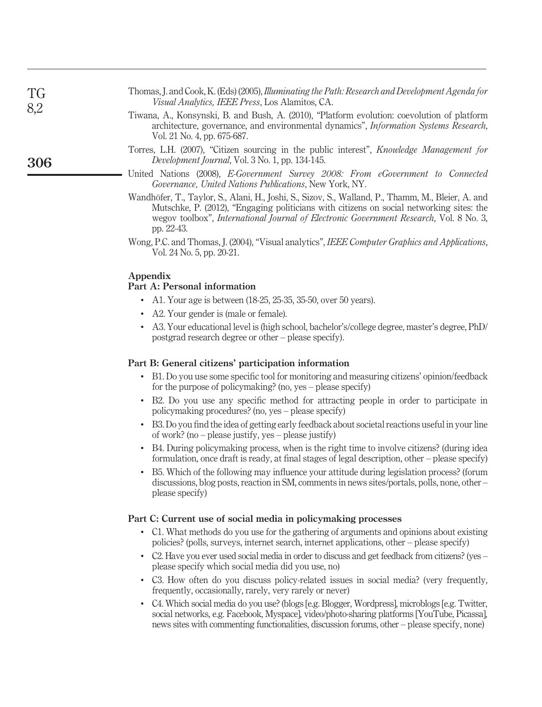| <b>TG</b> | Thomas, J. and Cook, K. (Eds) (2005), Illuminating the Path: Research and Development Agenda for<br>Visual Analytics, IEEE Press, Los Alamitos, CA.                                                                                                                                                    |
|-----------|--------------------------------------------------------------------------------------------------------------------------------------------------------------------------------------------------------------------------------------------------------------------------------------------------------|
| 8,2       | Tiwana, A., Konsynski, B. and Bush, A. (2010), "Platform evolution: coevolution of platform<br>architecture, governance, and environmental dynamics", Information Systems Research,<br>Vol. 21 No. 4, pp. 675-687.                                                                                     |
| 306       | Torres, L.H. (2007), "Citizen sourcing in the public interest", Knowledge Management for<br>Development Journal, Vol. 3 No. 1, pp. 134-145.                                                                                                                                                            |
|           | United Nations (2008), E-Government Survey 2008: From eGovernment to Connected<br>Governance, United Nations Publications, New York, NY.                                                                                                                                                               |
|           | Wandhöfer, T., Taylor, S., Alani, H., Joshi, S., Sizov, S., Walland, P., Thamm, M., Bleier, A. and<br>Mutschke, P. (2012), "Engaging politicians with citizens on social networking sites: the<br>wegov toolbox", International Journal of Electronic Government Research, Vol. 8 No. 3,<br>pp. 22-43. |
|           | Wong, P.C. and Thomas, J. (2004), "Visual analytics", IEEE Computer Graphics and Applications,<br>Vol. 24 No. 5, pp. 20-21.                                                                                                                                                                            |
|           | Appendix<br>Part A: Personal information                                                                                                                                                                                                                                                               |
|           | • A1. Your age is between (18-25, 25-35, 35-50, over 50 years).                                                                                                                                                                                                                                        |
|           | • A2. Your gender is (male or female).                                                                                                                                                                                                                                                                 |
|           | • A3. Your educational level is (high school, bachelor's/college degree, master's degree, PhD/<br>postgrad research degree or other – please specify).                                                                                                                                                 |
|           | Part B: General citizens' participation information                                                                                                                                                                                                                                                    |
|           | • B1. Do you use some specific tool for monitoring and measuring citizens' opinion/feedback<br>for the purpose of policymaking? (no, yes – please specify)                                                                                                                                             |
|           | • B2. Do you use any specific method for attracting people in order to participate in<br>policymaking procedures? (no, yes - please specify)                                                                                                                                                           |
|           | • B3. Do you find the idea of getting early feedback about societal reactions useful in your line<br>of work? (no – please justify, yes – please justify)                                                                                                                                              |
|           | • B4. During policymaking process, when is the right time to involve citizens? (during idea<br>formulation, once draft is ready, at final stages of legal description, other – please specify)                                                                                                         |
|           | • B5. Which of the following may influence your attitude during legislation process? (forum<br>discussions, blog posts, reaction in SM, comments in news sites/portals, polls, none, other –<br>please specify)                                                                                        |
|           | Part C: Current use of social media in policymaking processes                                                                                                                                                                                                                                          |
|           | • C1. What methods do you use for the gathering of arguments and opinions about existing<br>policies? (polls, surveys, internet search, internet applications, other – please specify)                                                                                                                 |
|           | - C2. Have you ever used social media in order to discuss and get feedback from citizens? (yes -<br>please specify which social media did you use, no                                                                                                                                                  |
|           | • C3. How often do you discuss policy-related issues in social media? (very frequently,<br>frequently, occasionally, rarely, very rarely or never)                                                                                                                                                     |
|           | C4. Which social media do you use? (blogs [e.g. Blogger, Wordpress], microblogs [e.g. Twitter,<br>٠<br>social networks, e.g. Facebook, Myspace], video/photo-sharing platforms [YouTube, Picassa],<br>news sites with commenting functionalities, discussion forums, other – please specify, none)     |
|           |                                                                                                                                                                                                                                                                                                        |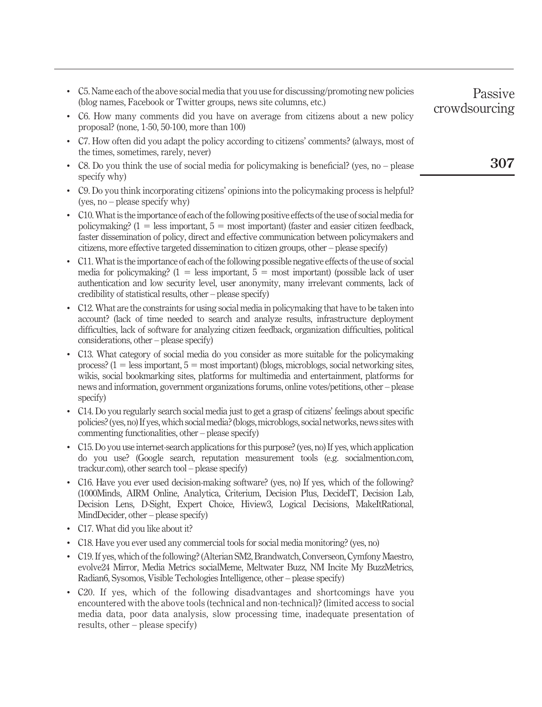| Passive<br>crowdsourcing | • C5. Name each of the above social media that you use for discussing/promoting new policies<br>(blog names, Facebook or Twitter groups, news site columns, etc.)                                                                                                                                                                                                                                                  |  |
|--------------------------|--------------------------------------------------------------------------------------------------------------------------------------------------------------------------------------------------------------------------------------------------------------------------------------------------------------------------------------------------------------------------------------------------------------------|--|
|                          | • C6. How many comments did you have on average from citizens about a new policy<br>proposal? (none, $1-50$ , $50-100$ , more than $100$ )                                                                                                                                                                                                                                                                         |  |
|                          | • C7. How often did you adapt the policy according to citizens' comments? (always, most of<br>the times, sometimes, rarely, never)                                                                                                                                                                                                                                                                                 |  |
| 307                      | • C8. Do you think the use of social media for policymaking is beneficial? (yes, no $-$ please<br>specify why)                                                                                                                                                                                                                                                                                                     |  |
|                          | • C9. Do you think incorporating citizens' opinions into the policymaking process is helpful?<br>(yes, no – please specify why)                                                                                                                                                                                                                                                                                    |  |
|                          | • C10. What is the importance of each of the following positive effects of the use of social media for<br>policymaking? $(1 = \text{less important}, 5 = \text{most important})$ (faster and easier citizen feedback,<br>faster dissemination of policy, direct and effective communication between policymakers and<br>citizens, more effective targeted dissemination to citizen groups, other – please specify) |  |

- C11.What is the importance of each of the following possible negative effects of the use of social media for policymaking? (1 = less important,  $5 =$  most important) (possible lack of user authentication and low security level, user anonymity, many irrelevant comments, lack of credibility of statistical results, other – please specify)
- C12. What are the constraints for using social media in policymaking that have to be taken into account? (lack of time needed to search and analyze results, infrastructure deployment difficulties, lack of software for analyzing citizen feedback, organization difficulties, political considerations, other – please specify)
- C13. What category of social media do you consider as more suitable for the policymaking process?  $(1 = \text{less important}, 5 = \text{most important})$  (blogs, microblogs, social networking sites, wikis, social bookmarking sites, platforms for multimedia and entertainment, platforms for news and information, government organizations forums, online votes/petitions, other – please specify)
- C14. Do you regularly search social media just to get a grasp of citizens' feelings about specific policies?(yes, no) If yes, which socialmedia?(blogs,microblogs, social networks, news sites with commenting functionalities, other – please specify)
- C15. Do you use internet-search applications for this purpose? (yes, no) If yes, which application do you use? (Google search, reputation measurement tools (e.g. socialmention.com, trackur.com), other search tool – please specify)
- C16. Have you ever used decision-making software? (yes, no) If yes, which of the following? (1000Minds, AIRM Online, Analytica, Criterium, Decision Plus, DecideIT, Decision Lab, Decision Lens, D-Sight, Expert Choice, Hiview3, Logical Decisions, MakeItRational, MindDecider, other – please specify)
- C17. What did you like about it?
- C18. Have you ever used any commercial tools for social media monitoring? (yes, no)
- C19. If yes, which of the following? (Alterian SM2, Brandwatch, Converseon, Cymfony Maestro, evolve24 Mirror, Media Metrics socialMeme, Meltwater Buzz, NM Incite My BuzzMetrics, Radian6, Sysomos, Visible Techologies Intelligence, other – please specify)
- C20. If yes, which of the following disadvantages and shortcomings have you encountered with the above tools (technical and non-technical)? (limited access to social media data, poor data analysis, slow processing time, inadequate presentation of results, other – please specify)